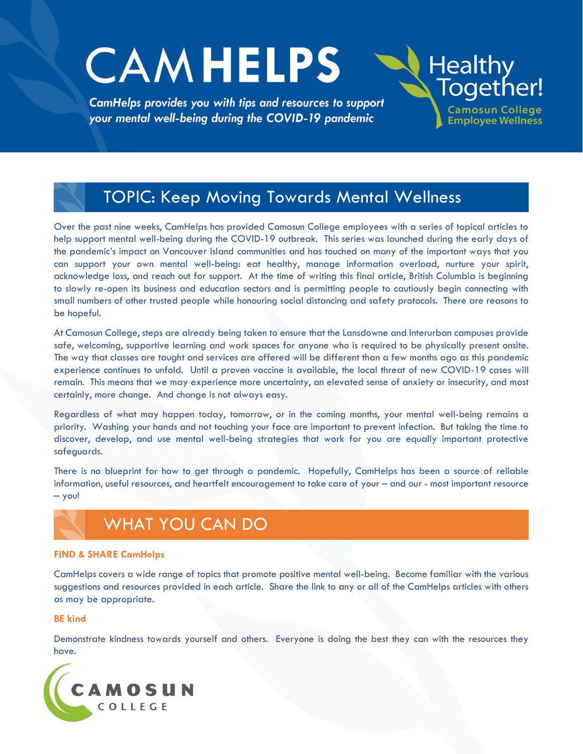# **CAMHELPS**

CamHelps provides you with tips and resources to support your mental well-being during the COVID-19 pandemic



## TOPIC: Keep Moving Towards Mental Wellness

Over the past nine weeks, CamHelps has provided Camosun College employees with a series of topical articles to help support mental well-being during the COVID-19 outbreak. This series was launched during the early days of the pandemic's impact on Vancouver Island communities and has touched on many of the important ways that you can support your own mental well-being: eat healthy, manage information overload, nurture your spirit, acknowledge loss, and reach out for support. At the time of writing this final article, British Columbia is beginning to slowly re-open its business and education sectors and is permitting people to cautiously begin connecting with small numbers of other trusted people while honouring social distancing and safety protocols. There are reasons to be hopeful.

At Camosun College, steps are already being taken to ensure that the Lansdowne and Interurban campuses provide safe, welcoming, supportive learning and work spaces for anyone who is required to be physically present onsite. The way that classes are taught and services are offered will be different than a few months ago as this pandemic experience continues to unfold. Until a proven vaccine is available, the local threat of new COVID-19 cases will remain. This means that we may experience more uncertainty, an elevated sense of anxiety or insecurity, and most certainly, more change. And change is not always easy.

Regardless of what may happen today, tomorrow, or in the coming months, your mental well-being remains a priority. Washing your hands and not touching your face are important to prevent infection. But taking the time to discover, develop, and use mental well-being strategies that work for you are equally important protective safeguards.

There is no blueprint for how to get through a pandemic. Hopefully, CamHelps has been a source of reliable information, useful resources, and heartfelt encouragement to take care of your – and our - most important resource – you!



#### **FIND & SHARE CamHelps**

CamHelps covers a wide range of topics that promote positive mental well-being. Become familiar with the various suggestions and resources provided in each article. Share the link to any or all of the CamHelps articles with others as may be appropriate.

#### **BE kind**

Demonstrate kindness towards yourself and others. Everyone is doing the best they can with the resources they have.

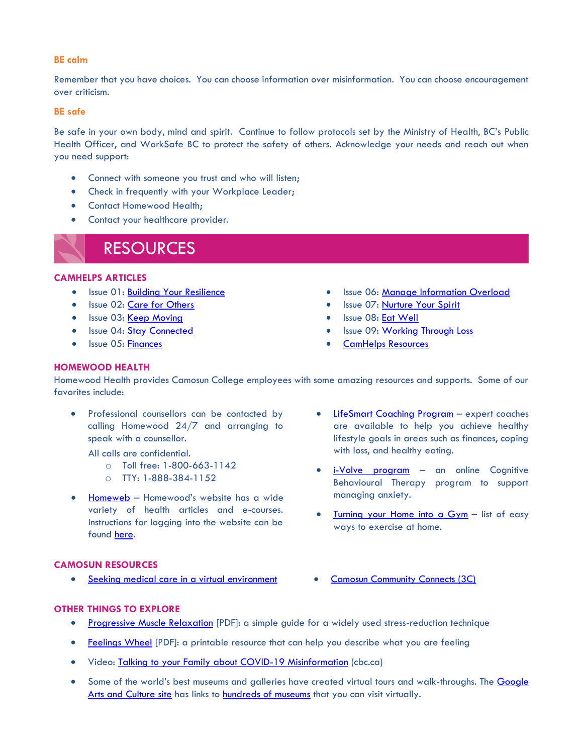#### **BE calm**

Remember that you have choices. You can choose information over misinformation. You can choose encouragement over criticism.

#### **BE safe**

Be safe in your own body, mind and spirit. Continue to follow protocols set by the Ministry of Health, BC's Public Health Officer, and WorkSafe BC to protect the safety of others. Acknowledge your needs and reach out when you need support:

- Connect with someone you trust and who will listen;
- Check in frequently with your Workplace Leader;
- Contact Homewood Health;
- Contact your healthcare provider.



#### **CAMHELPS ARTICLES**

- Issue 01: [Building Your Resilience](http://camosun.ca/covid19/documents/camhelps/CamHelps-artilce-01-build-your-resilience.pdf)
- Issue 02: [Care for Others](http://camosun.ca/covid19/documents/camhelps/CamHelps-artilce-02-care-for-others.pdf)
- Issue 03: [Keep Moving](http://camosun.ca/covid19/documents/camhelps/CamHelps-article-03-keep-moving.pdf)
- Issue 04: [Stay Connected](http://camosun.ca/covid19/documents/camhelps/CamHelps-article-04-stay-connected.pdf)
- Issue 05: [Finances](http://camosun.ca/covid19/documents/camhelps/CamHelps-article-05-finances.pdf)
- Issue 06: [Manage Information Overload](http://camosun.ca/covid19/documents/camhelps/CamHelps-article-06-info-overload.pdf)
- Issue 07: [Nurture Your Spirit](http://camosun.ca/covid19/documents/camhelps/CamHelps-article-07-nurture-your-spirit.pdf)
- Issue 08: [Eat Well](http://camosun.ca/covid19/documents/camhelps/CamHelps-article-08-eat-well.pdf)
- Issue 09: [Working Through Loss](http://camosun.ca/covid19/documents/camhelps/CamHelps-article-09-working-through-loss.pdf)
- [CamHelps Resources](http://camosun.ca/covid19/documents/camhelps/CamHelps-All-Resources.pdf)

#### **HOMEWOOD HEALTH**

Homewood Health provides Camosun College employees with some amazing resources and supports. Some of our favorites include:

• Professional counsellors can be contacted by calling Homewood 24/7 and arranging to speak with a counsellor.

All calls are confidential.

- o Toll free: 1-800-663-1142
- o TTY: 1-888-384-1152
- [Homeweb](https://homeweb.ca/) Homewood's website has a wide variety of health articles and e-courses. Instructions for logging into the website can be found [here.](http://camosun.ca/covid19/documents/homewood-login-instructions.pdf)

### • [LifeSmart Coaching Program](http://camosun.ca/covid19/documents/Life-Smart-Services.pdf) - expert coaches are available to help you achieve healthy lifestyle goals in areas such as finances, coping with loss, and healthy eating.

- [i-Volve program](http://camosun.ca/covid19/documents/camhelps/hh-iVolve-covid19-postcard.pdf) an online Cognitive Behavioural Therapy program to support managing anxiety.
- [Turning your Home into a Gym](http://camosun.ca/covid19/documents/camhelps/hh-home-gym.pdf) list of easy ways to exercise at home.

#### **CAMOSUN RESOURCES**

- [Seeking medical care in a virtual environment](http://camosun.ca/covid19/documents/camhelps/virtual-medical-services.pdf) [Camosun Community Connects \(3C\)](https://mycamosun.sharepoint.com/sites/CamosunCommunityConnects/SitePages/C3%20Home.aspx)
- 

#### **OTHER THINGS TO EXPLORE**

- [Progressive Muscle Relaxation](https://anxietycanada.com/sites/default/files/MuscleRelaxation.pdf) [PDF]: a simple guide for a widely used stress-reduction technique
- [Feelings Wheel](http://camosun.ca/covid19/documents/camhelps/9-Feelings-Wheel-Handout-2019.pdf) [PDF]: a printable resource that can help you describe what you are feeling
- Video: [Talking to your Family about COVID-19 Misinformation](https://www.cbc.ca/player/play/1724668483622) (cbc.ca)
- Some of the world's best museums and galleries have created virtual tours and walk-throughs. The [Google](https://artsandculture.google.com/explore)  [Arts and Culture site](https://artsandculture.google.com/explore) has links to [hundreds of museums](https://artsandculture.google.com/partner) that you can visit virtually.